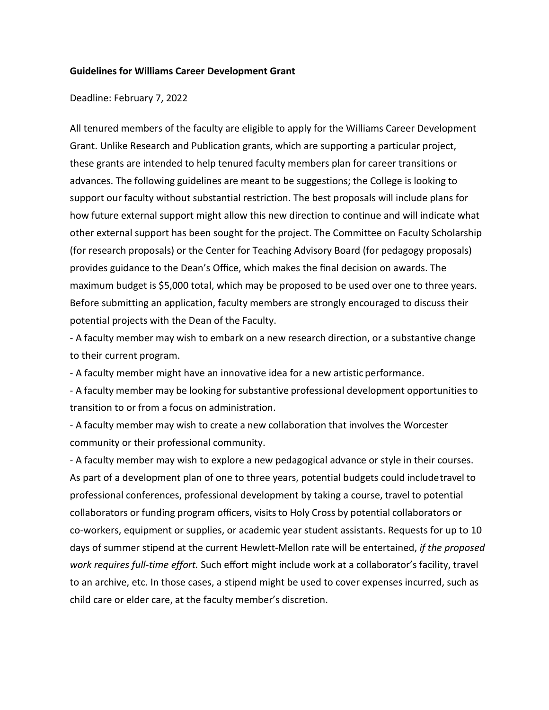## **Guidelines for Williams Career Development Grant**

## Deadline: February 7, 2022

All tenured members of the faculty are eligible to apply for the Williams Career Development Grant. Unlike Research and Publication grants, which are supporting a particular project, these grants are intended to help tenured faculty members plan for career transitions or advances. The following guidelines are meant to be suggestions; the College is looking to support our faculty without substantial restriction. The best proposals will include plans for how future external support might allow this new direction to continue and will indicate what other external support has been sought for the project. The Committee on Faculty Scholarship (for research proposals) or the Center for Teaching Advisory Board (for pedagogy proposals) provides guidance to the Dean's Office, which makes the final decision on awards. The maximum budget is \$5,000 total, which may be proposed to be used over one to three years. Before submitting an application, faculty members are strongly encouraged to discuss their potential projects with the Dean of the Faculty.

- A faculty member may wish to embark on a new research direction, or a substantive change to their current program.

- A faculty member might have an innovative idea for a new artistic performance.

- A faculty member may be looking for substantive professional development opportunities to transition to or from a focus on administration.

- A faculty member may wish to create a new collaboration that involves the Worcester community or their professional community.

- A faculty member may wish to explore a new pedagogical advance or style in their courses. As part of a development plan of one to three years, potential budgets could includetravel to professional conferences, professional development by taking a course, travel to potential collaborators or funding program officers, visits to Holy Cross by potential collaborators or co-workers, equipment or supplies, or academic year student assistants. Requests for up to 10 days of summer stipend at the current Hewlett-Mellon rate will be entertained, *if the proposed work requires full-time effort.* Such effort might include work at a collaborator's facility, travel to an archive, etc. In those cases, a stipend might be used to cover expenses incurred, such as child care or elder care, at the faculty member's discretion.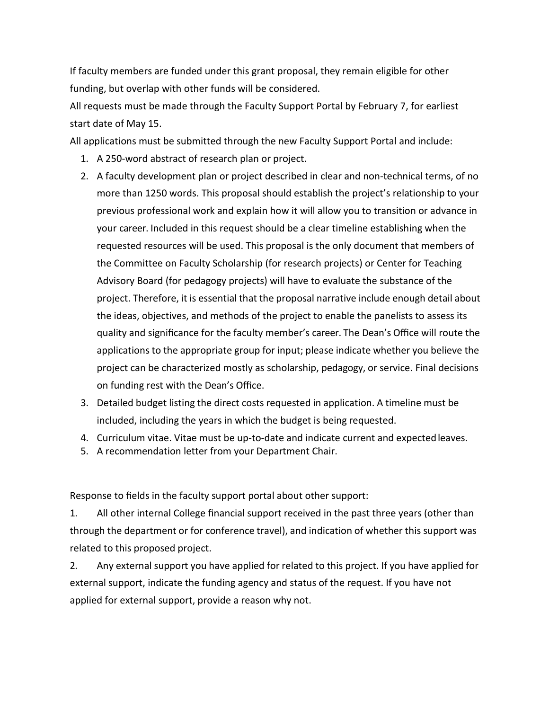If faculty members are funded under this grant proposal, they remain eligible for other funding, but overlap with other funds will be considered.

All requests must be made through the Faculty Support Portal by February 7, for earliest start date of May 15.

All applications must be submitted through the new Faculty Support Portal and include:

- 1. A 250-word abstract of research plan or project.
- 2. A faculty development plan or project described in clear and non-technical terms, of no more than 1250 words. This proposal should establish the project's relationship to your previous professional work and explain how it will allow you to transition or advance in your career. Included in this request should be a clear timeline establishing when the requested resources will be used. This proposal is the only document that members of the Committee on Faculty Scholarship (for research projects) or Center for Teaching Advisory Board (for pedagogy projects) will have to evaluate the substance of the project. Therefore, it is essential that the proposal narrative include enough detail about the ideas, objectives, and methods of the project to enable the panelists to assess its quality and significance for the faculty member's career. The Dean's Office will route the applications to the appropriate group for input; please indicate whether you believe the project can be characterized mostly as scholarship, pedagogy, or service. Final decisions on funding rest with the Dean's Office.
- 3. Detailed budget listing the direct costs requested in application. A timeline must be included, including the years in which the budget is being requested.
- 4. Curriculum vitae. Vitae must be up-to-date and indicate current and expectedleaves.
- 5. A recommendation letter from your Department Chair.

Response to fields in the faculty support portal about other support:

1. All other internal College financial support received in the past three years (other than through the department or for conference travel), and indication of whether this support was related to this proposed project.

2. Any external support you have applied for related to this project. If you have applied for external support, indicate the funding agency and status of the request. If you have not applied for external support, provide a reason why not.